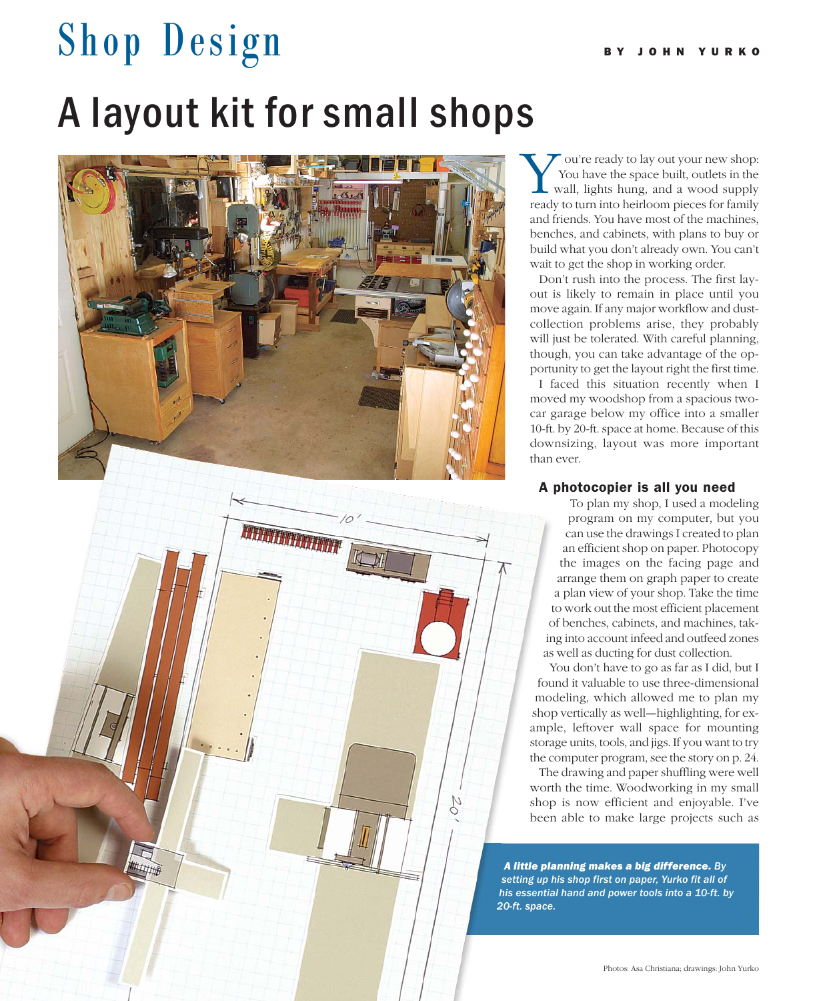# Shop Design A layout kit for small shops



**MARKET HARRY** 

22 FINE WOODWORKING

ou're ready to lay out your new shop: You have the space built, outlets in the wall, lights hung, and a wood supply You're ready to lay out your new shop:<br>You have the space built, outlets in the<br>wall, lights hung, and a wood supply<br>ready to turn into heirloom pieces for family and friends. You have most of the machines, benches, and cabinets, with plans to buy or build what you don't already own. You can't wait to get the shop in working order.

Don't rush into the process. The first layout is likely to remain in place until you move again. If any major workflow and dustcollection problems arise, they probably will just be tolerated. With careful planning, though, you can take advantage of the opportunity to get the layout right the first time.

I faced this situation recently when I moved my woodshop from a spacious twocar garage below my office into a smaller 10-ft. by 20-ft. space at home. Because of this downsizing, layout was more important than ever.

### A photocopier is all you need

To plan my shop, I used a modeling program on my computer, but you can use the drawings I created to plan an efficient shop on paper. Photocopy the images on the facing page and arrange them on graph paper to create a plan view of your shop. Take the time to work out the most efficient placement of benches, cabinets, and machines, taking into account infeed and outfeed zones as well as ducting for dust collection.

You don't have to go as far as I did, but I found it valuable to use three-dimensional modeling, which allowed me to plan my shop vertically as well—highlighting, for example, leftover wall space for mounting storage units, tools, and jigs. If you want to try the computer program, see the story on p. 24.

The drawing and paper shuffling were well worth the time. Woodworking in my small shop is now efficient and enjoyable. I've been able to make large projects such as

*A little planning makes a big difference. By setting up his shop first on paper, Yurko fit all of his essential hand and power tools into a 10-ft. by 20-ft. space.*

20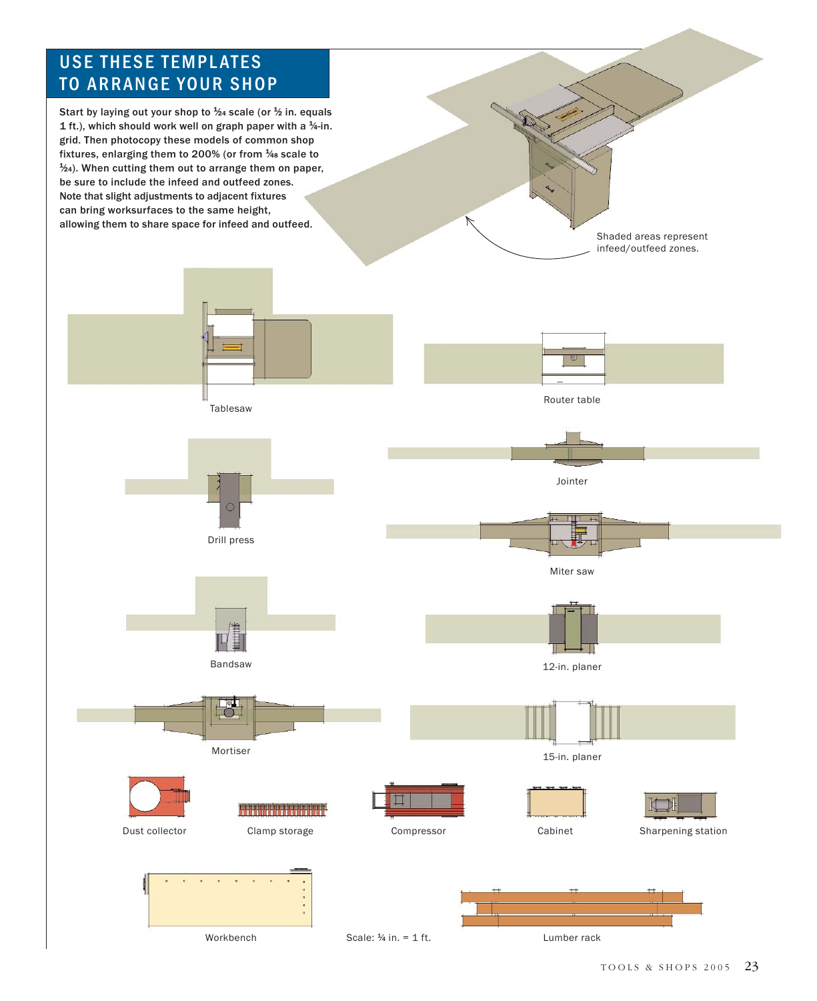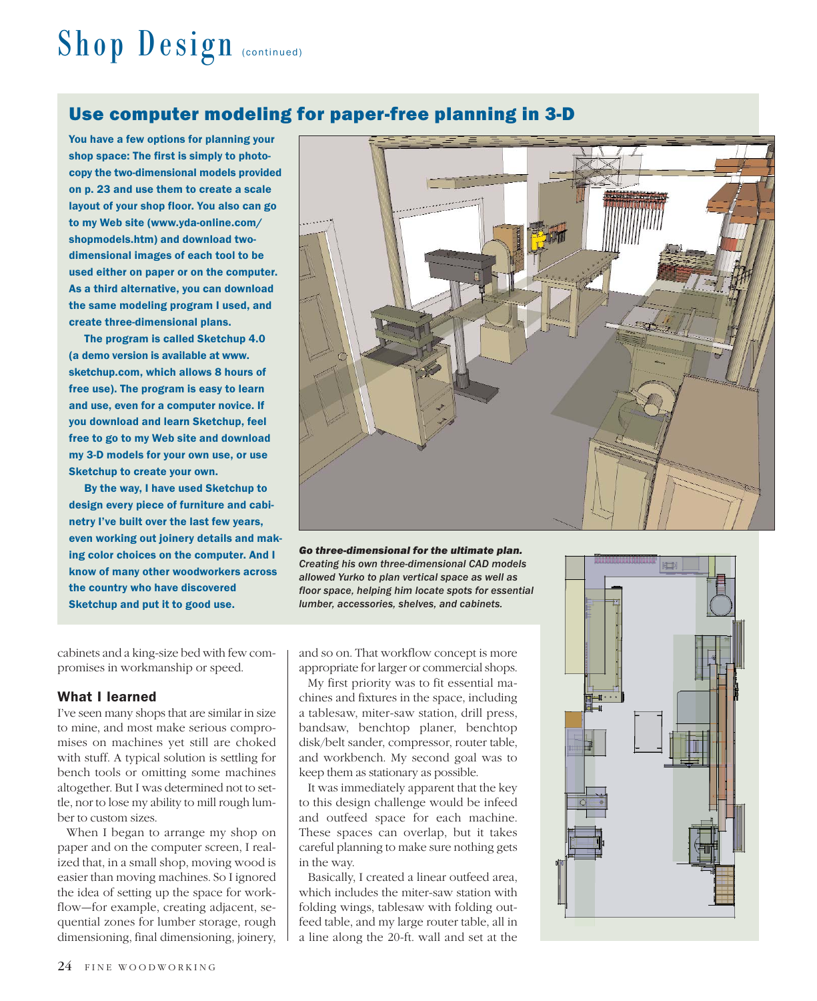# Shop Design (continued)

## Use computer modeling for paper-free planning in 3-D

You have a few options for planning your shop space: The first is simply to photocopy the two-dimensional models provided on p. 23 and use them to create a scale layout of your shop floor. You also can go to my Web site (www.yda-online.com/ shopmodels.htm) and download twodimensional images of each tool to be used either on paper or on the computer. As a third alternative, you can download the same modeling program I used, and create three-dimensional plans.

The program is called Sketchup 4.0 (a demo version is available at www. sketchup.com, which allows 8 hours of free use). The program is easy to learn and use, even for a computer novice. If you download and learn Sketchup, feel free to go to my Web site and download my 3-D models for your own use, or use Sketchup to create your own.

By the way, I have used Sketchup to design every piece of furniture and cabinetry I've built over the last few years, even working out joinery details and making color choices on the computer. And I know of many other woodworkers across the country who have discovered Sketchup and put it to good use.

cabinets and a king-size bed with few compromises in workmanship or speed.

### What I learned

I've seen many shops that are similar in size to mine, and most make serious compromises on machines yet still are choked with stuff. A typical solution is settling for bench tools or omitting some machines altogether. But I was determined not to settle, nor to lose my ability to mill rough lumber to custom sizes.

When I began to arrange my shop on paper and on the computer screen, I realized that, in a small shop, moving wood is easier than moving machines. So I ignored the idea of setting up the space for workflow—for example, creating adjacent, sequential zones for lumber storage, rough dimensioning, final dimensioning, joinery,



*Go three-dimensional for the ultimate plan. Creating his own three-dimensional CAD models allowed Yurko to plan vertical space as well as floor space, helping him locate spots for essential lumber, accessories, shelves, and cabinets.*

and so on. That workflow concept is more appropriate for larger or commercial shops.

My first priority was to fit essential machines and fixtures in the space, including a tablesaw, miter-saw station, drill press, bandsaw, benchtop planer, benchtop disk/belt sander, compressor, router table, and workbench. My second goal was to keep them as stationary as possible.

It was immediately apparent that the key to this design challenge would be infeed and outfeed space for each machine. These spaces can overlap, but it takes careful planning to make sure nothing gets in the way.

Basically, I created a linear outfeed area, which includes the miter-saw station with folding wings, tablesaw with folding outfeed table, and my large router table, all in a line along the 20-ft. wall and set at the